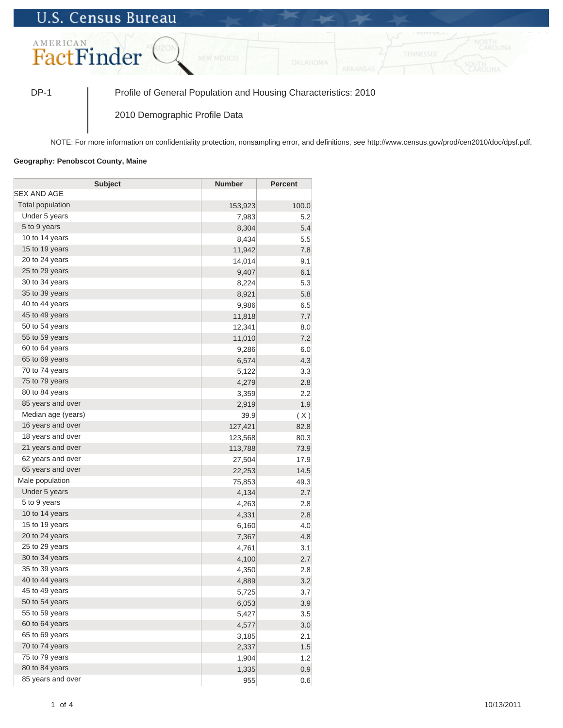## **U.S. Census Bureau**



DP-1 Profile of General Population and Housing Characteristics: 2010

2010 Demographic Profile Data

NOTE: For more information on confidentiality protection, nonsampling error, and definitions, see http://www.census.gov/prod/cen2010/doc/dpsf.pdf.

## **Geography: Penobscot County, Maine**

| <b>Subject</b>     | <b>Number</b> | <b>Percent</b> |
|--------------------|---------------|----------------|
| SEX AND AGE        |               |                |
| Total population   | 153,923       | 100.0          |
| Under 5 years      | 7,983         | 5.2            |
| 5 to 9 years       | 8,304         | 5.4            |
| 10 to 14 years     | 8,434         | 5.5            |
| 15 to 19 years     | 11,942        | 7.8            |
| 20 to 24 years     | 14,014        | 9.1            |
| 25 to 29 years     | 9,407         | 6.1            |
| 30 to 34 years     | 8,224         | 5.3            |
| 35 to 39 years     | 8,921         | 5.8            |
| 40 to 44 years     | 9,986         | 6.5            |
| 45 to 49 years     | 11,818        | 7.7            |
| 50 to 54 years     | 12,341        | 8.0            |
| 55 to 59 years     | 11,010        | 7.2            |
| 60 to 64 years     | 9,286         | 6.0            |
| 65 to 69 years     | 6,574         | 4.3            |
| 70 to 74 years     | 5,122         | 3.3            |
| 75 to 79 years     | 4,279         | 2.8            |
| 80 to 84 years     | 3,359         | 2.2            |
| 85 years and over  | 2,919         | 1.9            |
| Median age (years) | 39.9          | (X)            |
| 16 years and over  | 127,421       | 82.8           |
| 18 years and over  | 123,568       | 80.3           |
| 21 years and over  | 113,788       | 73.9           |
| 62 years and over  | 27,504        | 17.9           |
| 65 years and over  | 22,253        | 14.5           |
| Male population    | 75,853        | 49.3           |
| Under 5 years      | 4,134         | 2.7            |
| 5 to 9 years       | 4,263         | 2.8            |
| 10 to 14 years     | 4,331         | 2.8            |
| 15 to 19 years     | 6,160         | 4.0            |
| 20 to 24 years     | 7,367         | 4.8            |
| 25 to 29 years     | 4,761         | 3.1            |
| 30 to 34 years     | 4,100         | 2.7            |
| 35 to 39 years     | 4,350         | 2.8            |
| 40 to 44 years     | 4,889         | 3.2            |
| 45 to 49 years     | 5,725         | 3.7            |
| 50 to 54 years     | 6,053         | 3.9            |
| 55 to 59 years     | 5,427         | 3.5            |
| 60 to 64 years     | 4,577         | 3.0            |
| 65 to 69 years     | 3,185         | 2.1            |
| 70 to 74 years     | 2,337         | 1.5            |
| 75 to 79 years     | 1,904         | 1.2            |
| 80 to 84 years     | 1,335         | 0.9            |
| 85 years and over  | 955           | 0.6            |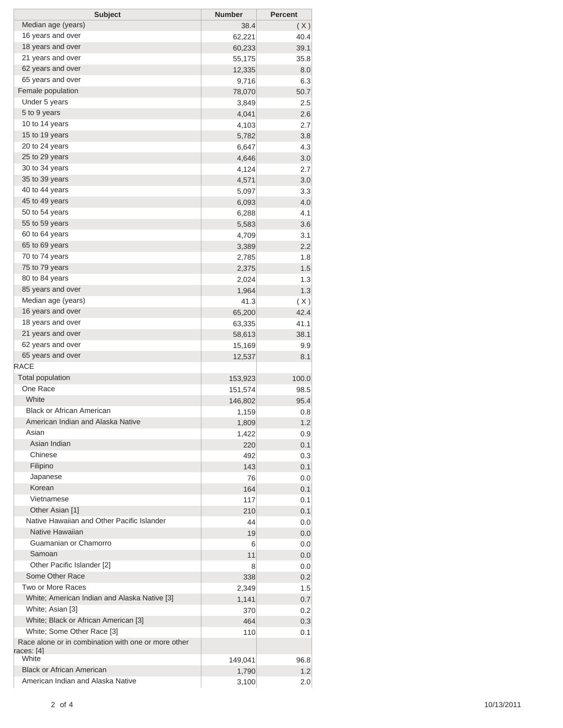| <b>Subject</b>                                      | <b>Number</b> | <b>Percent</b> |
|-----------------------------------------------------|---------------|----------------|
| Median age (years)                                  | 38.4          | (X)            |
| 16 years and over                                   | 62,221        | 40.4           |
| 18 years and over                                   | 60,233        | 39.1           |
| 21 years and over                                   | 55,175        | 35.8           |
| 62 years and over                                   | 12,335        | 8.0            |
| 65 years and over                                   | 9,716         | 6.3            |
| Female population                                   | 78,070        | 50.7           |
| Under 5 years                                       | 3,849         | 2.5            |
| 5 to 9 years                                        | 4,041         | 2.6            |
| 10 to 14 years                                      | 4,103         | 2.7            |
| 15 to 19 years                                      | 5,782         | 3.8            |
| 20 to 24 years                                      | 6,647         | 4.3            |
| 25 to 29 years                                      | 4,646         | 3.0            |
| 30 to 34 years                                      | 4,124         | 2.7            |
| 35 to 39 years                                      | 4,571         | 3.0            |
| 40 to 44 years                                      | 5,097         | 3.3            |
| 45 to 49 years                                      | 6,093         | 4.0            |
| 50 to 54 years                                      | 6,288         | 4.1            |
| 55 to 59 years                                      | 5,583         | 3.6            |
| 60 to 64 years                                      | 4,709         | 3.1            |
| 65 to 69 years                                      | 3,389         | 2.2            |
| 70 to 74 years                                      | 2,785         | 1.8            |
| 75 to 79 years                                      | 2,375         | 1.5            |
| 80 to 84 years                                      | 2,024         | 1.3            |
| 85 years and over                                   | 1,964         | 1.3            |
| Median age (years)                                  | 41.3          | (X)            |
| 16 years and over                                   | 65,200        | 42.4           |
| 18 years and over                                   | 63,335        | 41.1           |
| 21 years and over                                   | 58,613        | 38.1           |
| 62 years and over                                   | 15,169        | 9.9            |
| 65 years and over                                   | 12,537        | 8.1            |
| <b>RACE</b>                                         |               |                |
| <b>Total population</b>                             | 153,923       | 100.0          |
| One Race                                            | 151,574       | 98.5           |
| White                                               | 146,802       | 95.4           |
| <b>Black or African American</b>                    | 1,159         | 0.8            |
| American Indian and Alaska Native                   | 1,809         | 1.2            |
| Asian                                               | 1,422         | 0.9            |
| Asian Indian                                        | 220           | 0.1            |
| Chinese                                             | 492           | 0.3            |
| Filipino                                            | 143           | 0.1            |
| Japanese                                            | 76            | 0.0            |
| Korean                                              | 164           | 0.1            |
| Vietnamese                                          | 117           | 0.1            |
| Other Asian [1]                                     | 210           | 0.1            |
| Native Hawaiian and Other Pacific Islander          | 44            | 0.0            |
| Native Hawaiian                                     | 19            | 0.0            |
| Guamanian or Chamorro                               | 6             | 0.0            |
| Samoan                                              | 11            | 0.0            |
| Other Pacific Islander [2]                          | 8             | 0.0            |
| Some Other Race                                     | 338           | 0.2            |
| Two or More Races                                   | 2,349         | 1.5            |
| White; American Indian and Alaska Native [3]        | 1,141         | 0.7            |
| White; Asian [3]                                    | 370           | 0.2            |
| White; Black or African American [3]                | 464           | 0.3            |
| White; Some Other Race [3]                          | 110           | 0.1            |
| Race alone or in combination with one or more other |               |                |
| races: [4]                                          |               |                |
| White                                               | 149,041       | 96.8           |
| <b>Black or African American</b>                    | 1,790         | 1.2            |
| American Indian and Alaska Native                   | 3,100         | 2.0            |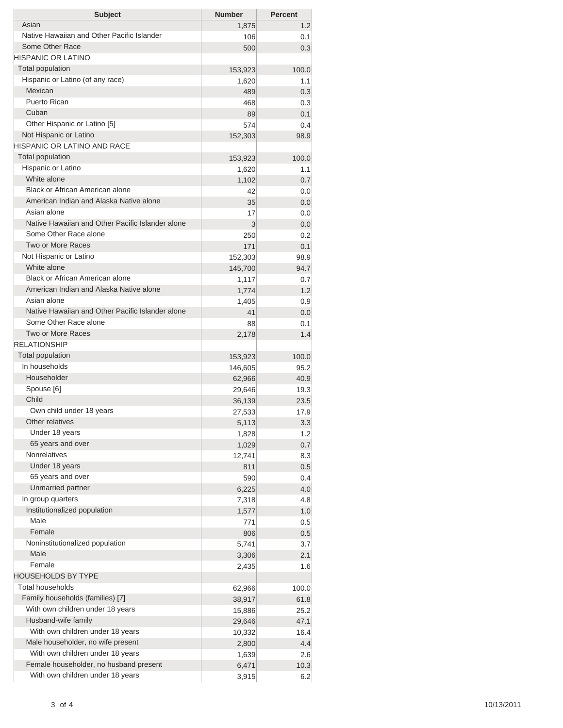| <b>Subject</b>                                   | <b>Number</b> | <b>Percent</b> |
|--------------------------------------------------|---------------|----------------|
| Asian                                            | 1,875         | 1.2            |
| Native Hawaiian and Other Pacific Islander       | 106           | 0.1            |
| Some Other Race                                  | 500           | 0.3            |
| <b>HISPANIC OR LATINO</b>                        |               |                |
| <b>Total population</b>                          | 153,923       | 100.0          |
| Hispanic or Latino (of any race)                 | 1,620         | 1.1            |
| Mexican                                          | 489           | 0.3            |
| Puerto Rican                                     | 468           | 0.3            |
| Cuban                                            | 89            | 0.1            |
| Other Hispanic or Latino [5]                     | 574           | 0.4            |
| Not Hispanic or Latino                           | 152,303       | 98.9           |
| HISPANIC OR LATINO AND RACE                      |               |                |
| <b>Total population</b>                          | 153,923       | 100.0          |
| Hispanic or Latino                               | 1,620         | 1.1            |
| White alone                                      | 1,102         | 0.7            |
| <b>Black or African American alone</b>           | 42            | 0.0            |
| American Indian and Alaska Native alone          | 35            | 0.0            |
| Asian alone                                      | 17            | 0.0            |
| Native Hawaiian and Other Pacific Islander alone | 3             | 0.0            |
| Some Other Race alone                            | 250           | 0.2            |
| Two or More Races                                | 171           | 0.1            |
| Not Hispanic or Latino                           | 152,303       | 98.9           |
| White alone                                      | 145,700       | 94.7           |
| Black or African American alone                  | 1,117         | 0.7            |
| American Indian and Alaska Native alone          | 1,774         | 1.2            |
| Asian alone                                      | 1,405         | 0.9            |
| Native Hawaiian and Other Pacific Islander alone | 41            | 0.0            |
| Some Other Race alone                            | 88            | 0.1            |
| Two or More Races                                | 2,178         | 1.4            |
| <b>RELATIONSHIP</b>                              |               |                |
| <b>Total population</b>                          | 153,923       | 100.0          |
| In households                                    | 146,605       | 95.2           |
| Householder                                      | 62,966        | 40.9           |
| Spouse [6]                                       | 29,646        | 19.3           |
| Child                                            | 36,139        | 23.5           |
| Own child under 18 years                         | 27,533        | 17.9           |
| Other relatives                                  | 5,113         | 3.3            |
| Under 18 years                                   | 1,828         | 1.2            |
| 65 years and over                                | 1,029         | 0.7            |
| <b>Nonrelatives</b>                              | 12,741        | 8.3            |
| Under 18 years                                   | 811           | 0.5            |
| 65 years and over                                | 590           | 0.4            |
| Unmarried partner                                | 6,225         | 4.0            |
| In group quarters                                | 7,318         | 4.8            |
| Institutionalized population                     | 1,577         | 1.0            |
| Male                                             | 771           | 0.5            |
| Female                                           | 806           | 0.5            |
| Noninstitutionalized population                  | 5,741         | 3.7            |
| Male                                             | 3,306         | 2.1            |
| Female                                           | 2,435         | 1.6            |
| <b>HOUSEHOLDS BY TYPE</b>                        |               |                |
| Total households                                 | 62,966        | 100.0          |
| Family households (families) [7]                 | 38,917        | 61.8           |
| With own children under 18 years                 | 15,886        | 25.2           |
| Husband-wife family                              | 29,646        | 47.1           |
| With own children under 18 years                 | 10,332        | 16.4           |
| Male householder, no wife present                | 2,800         | 4.4            |
| With own children under 18 years                 | 1,639         | 2.6            |
| Female householder, no husband present           | 6,471         | 10.3           |
| With own children under 18 years                 | 3,915         | 6.2            |